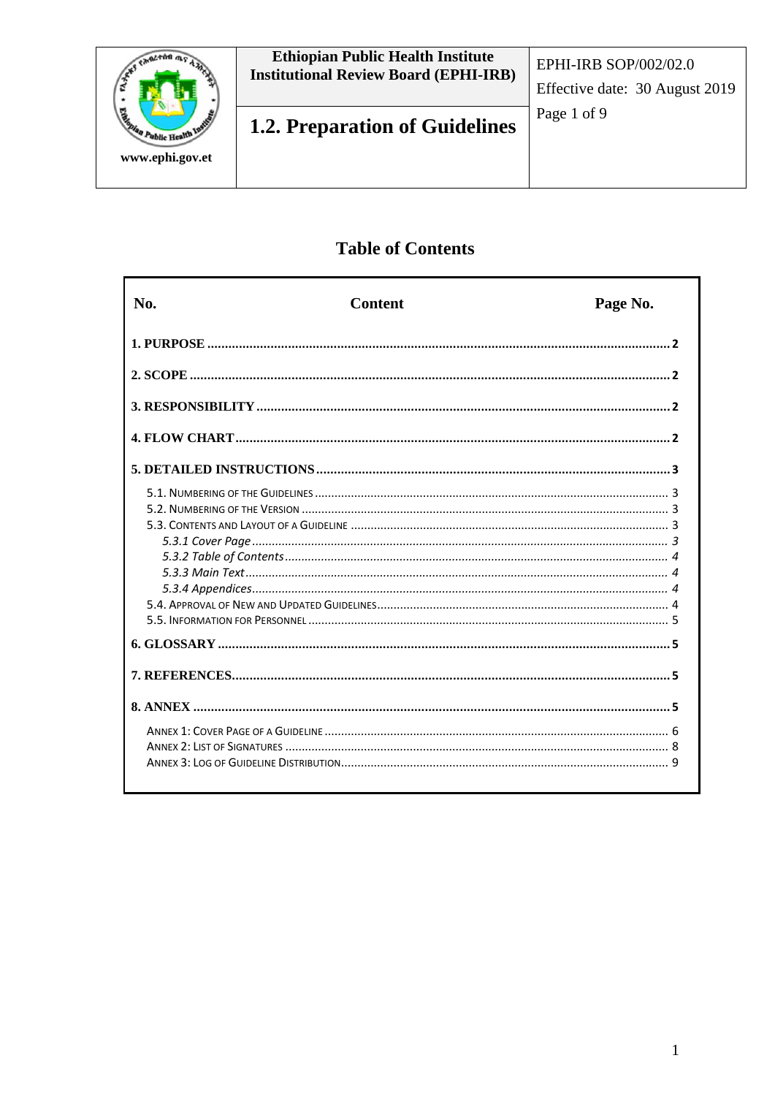

# **Table of Contents**

| No. | <b>Content</b> | Page No. |
|-----|----------------|----------|
|     |                |          |
|     |                |          |
|     |                |          |
|     |                |          |
|     |                |          |
|     |                |          |
|     |                |          |
|     |                |          |
|     |                |          |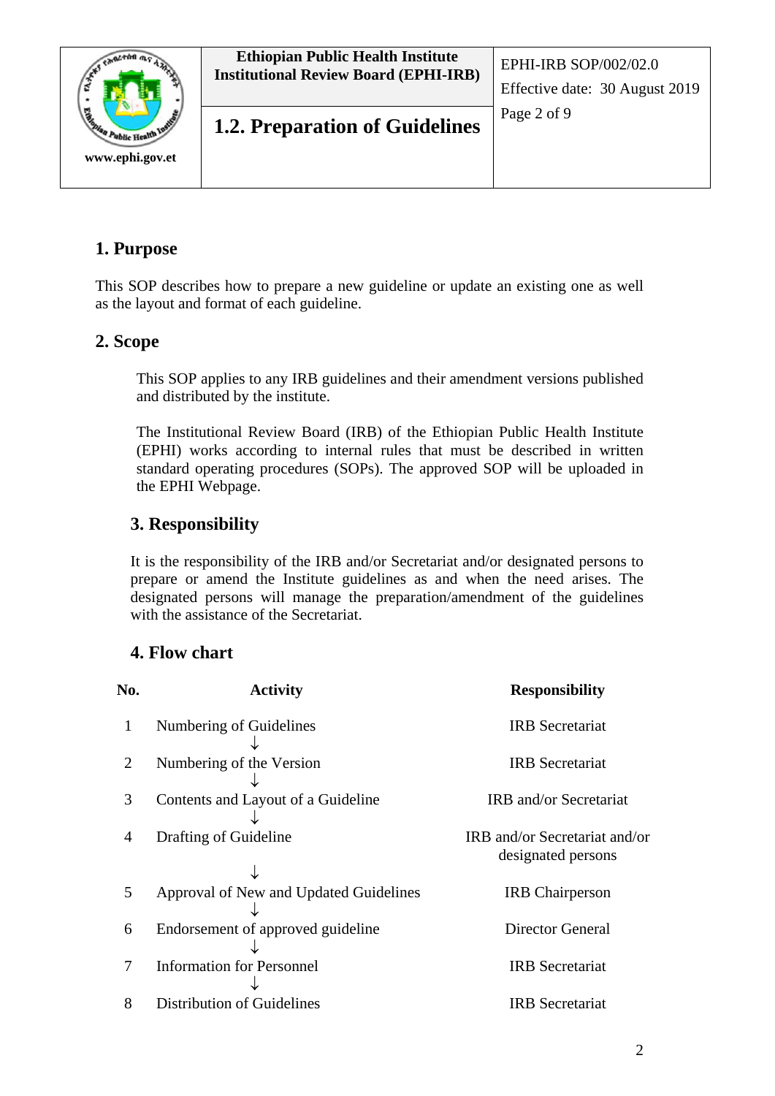

# **1. Purpose**

This SOP describes how to prepare a new guideline or update an existing one as well as the layout and format of each guideline.

# **2. Scope**

This SOP applies to any IRB guidelines and their amendment versions published and distributed by the institute.

The Institutional Review Board (IRB) of the Ethiopian Public Health Institute (EPHI) works according to internal rules that must be described in written standard operating procedures (SOPs). The approved SOP will be uploaded in the EPHI Webpage.

# **3. Responsibility**

It is the responsibility of the IRB and/or Secretariat and/or designated persons to prepare or amend the Institute guidelines as and when the need arises. The designated persons will manage the preparation/amendment of the guidelines with the assistance of the Secretariat.

# **4. Flow chart**

| No.            | <b>Activity</b>                        | <b>Responsibility</b>                               |  |
|----------------|----------------------------------------|-----------------------------------------------------|--|
| 1              | Numbering of Guidelines                | <b>IRB</b> Secretariat                              |  |
| 2              | Numbering of the Version               | <b>IRB</b> Secretariat                              |  |
| 3              | Contents and Layout of a Guideline     | <b>IRB</b> and/or Secretariat                       |  |
| $\overline{4}$ | Drafting of Guideline                  | IRB and/or Secretariat and/or<br>designated persons |  |
| 5              | Approval of New and Updated Guidelines | <b>IRB</b> Chairperson                              |  |
| 6              | Endorsement of approved guideline      | Director General                                    |  |
| 7              | <b>Information for Personnel</b>       | <b>IRB</b> Secretariat                              |  |
| 8              | Distribution of Guidelines             | <b>IRB</b> Secretariat                              |  |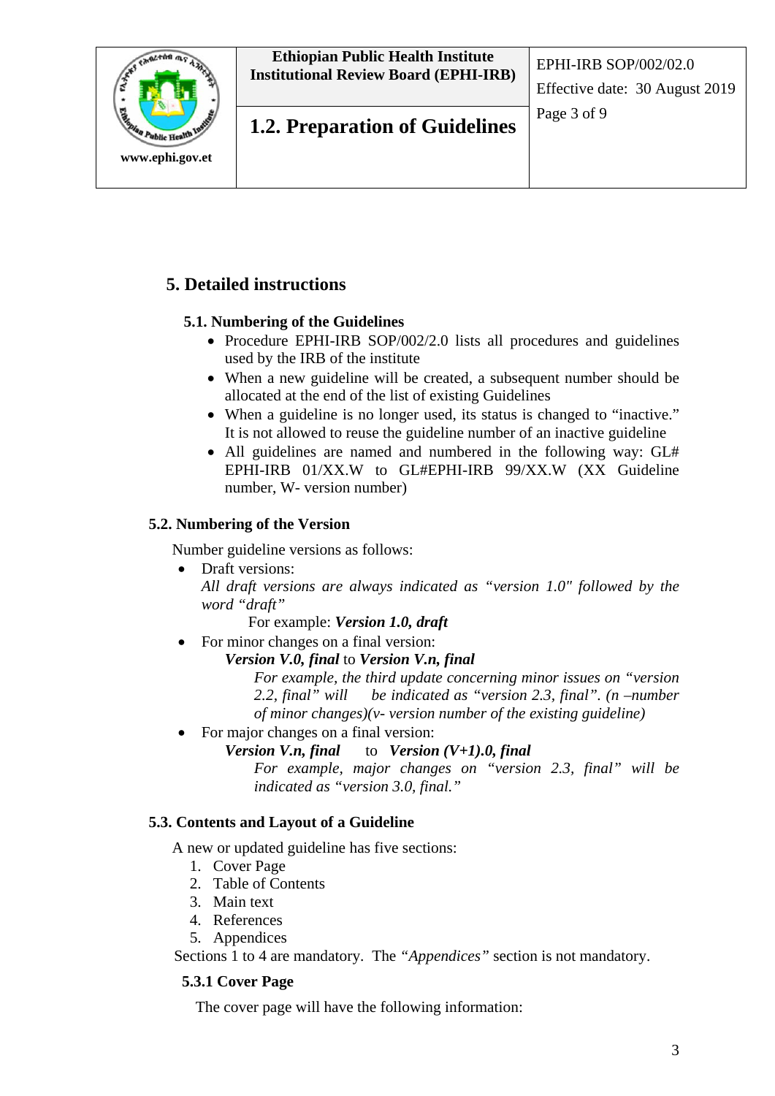

Effective date: 30 August 2019

# **1.2. Preparation of Guidelines**  $\begin{bmatrix} \text{Page 3 of 9} \\ \end{bmatrix}$

### **5. Detailed instructions**

#### **5.1. Numbering of the Guidelines**

- Procedure EPHI-IRB SOP/002/2.0 lists all procedures and guidelines used by the IRB of the institute
- When a new guideline will be created, a subsequent number should be allocated at the end of the list of existing Guidelines
- When a guideline is no longer used, its status is changed to "inactive." It is not allowed to reuse the guideline number of an inactive guideline
- All guidelines are named and numbered in the following way: GL# EPHI-IRB 01/XX.W to GL#EPHI-IRB 99/XX.W (XX Guideline number, W- version number)

#### **5.2. Numbering of the Version**

Number guideline versions as follows:

• Draft versions: *All draft versions are always indicated as "version 1.0" followed by the word "draft"*

For example: *Version 1.0, draft*

- For minor changes on a final version:
	- *Version V.0, final* to *Version V.n, final*

*For example, the third update concerning minor issues on "version 2.2, final" will be indicated as "version 2.3, final". (n –number of minor changes)(v- version number of the existing guideline)*

• For major changes on a final version:

*Version V.n, final* to *Version (V+1).0, final*

*For example, major changes on "version 2.3, final" will be indicated as "version 3.0, final."*

#### **5.3. Contents and Layout of a Guideline**

A new or updated guideline has five sections:

- 1. Cover Page
- 2. Table of Contents
- 3. Main text
- 4. References
- 5. Appendices

Sections 1 to 4 are mandatory. The *"Appendices"* section is not mandatory.

#### **5.3.1 Cover Page**

The cover page will have the following information: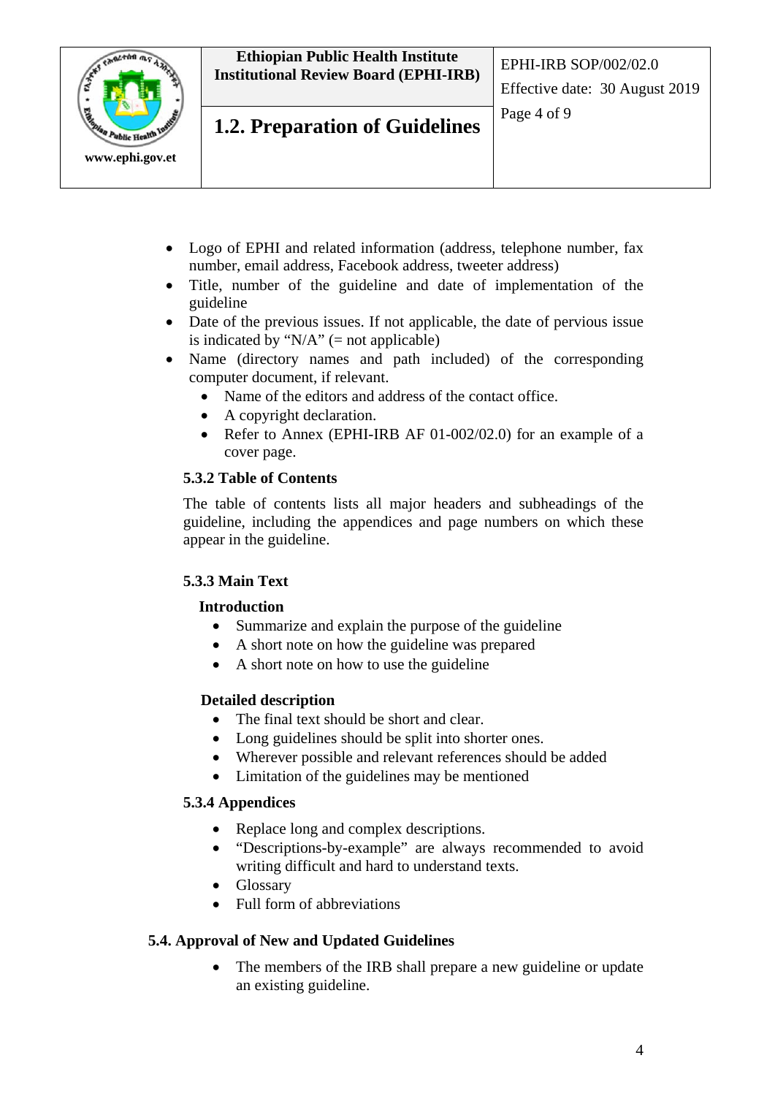



# **1.2. Preparation of Guidelines**  $\begin{bmatrix} \text{Page 4 of 9} \\ \end{bmatrix}$

- 
- Logo of EPHI and related information (address, telephone number, fax number, email address, Facebook address, tweeter address)
- Title, number of the guideline and date of implementation of the guideline
- Date of the previous issues. If not applicable, the date of pervious issue is indicated by " $N/A$ " (= not applicable)
- Name (directory names and path included) of the corresponding computer document, if relevant.
	- Name of the editors and address of the contact office.
	- A copyright declaration.
	- Refer to Annex (EPHI-IRB AF 01-002/02.0) for an example of a cover page.

#### **5.3.2 Table of Contents**

The table of contents lists all major headers and subheadings of the guideline, including the appendices and page numbers on which these appear in the guideline.

### **5.3.3 Main Text**

#### **Introduction**

- Summarize and explain the purpose of the guideline
- A short note on how the guideline was prepared
- A short note on how to use the guideline

### **Detailed description**

- The final text should be short and clear.
- Long guidelines should be split into shorter ones.
- Wherever possible and relevant references should be added
- Limitation of the guidelines may be mentioned

#### **5.3.4 Appendices**

- Replace long and complex descriptions.
- "Descriptions-by-example" are always recommended to avoid writing difficult and hard to understand texts.
- Glossary
- Full form of abbreviations

### **5.4. Approval of New and Updated Guidelines**

• The members of the IRB shall prepare a new guideline or update an existing guideline.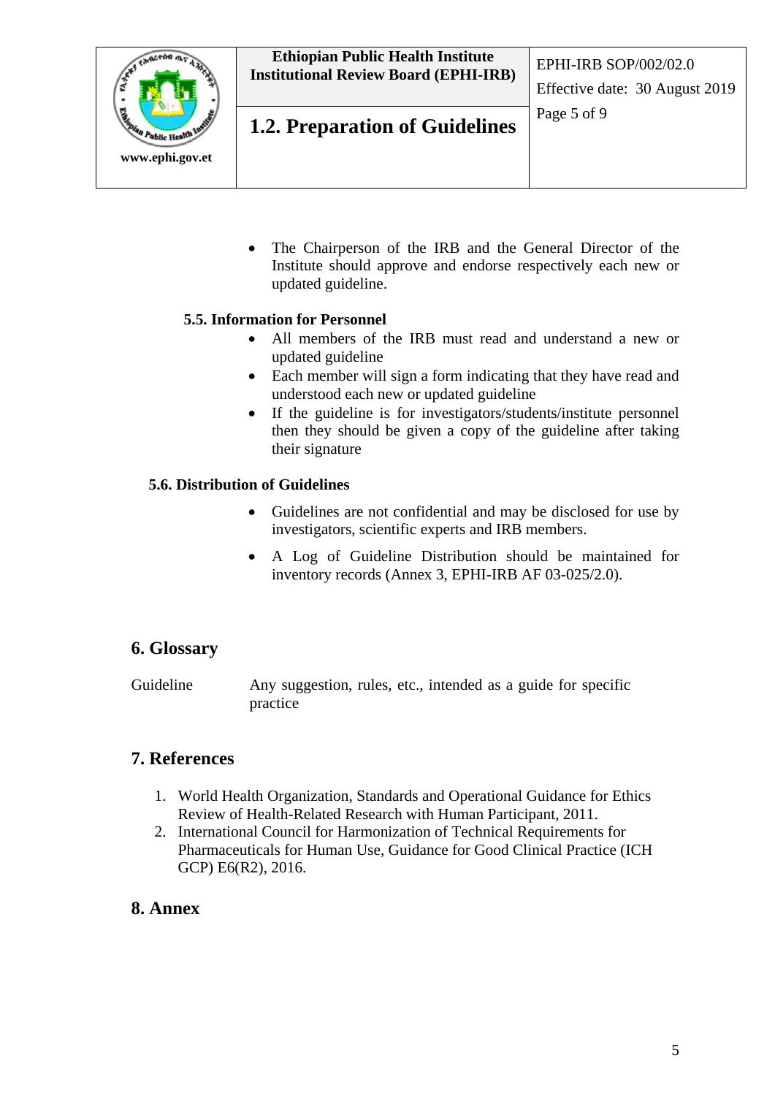

# Page 5 of 9 **1.2. Preparation of Guidelines**

• The Chairperson of the IRB and the General Director of the Institute should approve and endorse respectively each new or updated guideline.

#### **5.5. Information for Personnel**

- All members of the IRB must read and understand a new or updated guideline
- Each member will sign a form indicating that they have read and understood each new or updated guideline
- If the guideline is for investigators/students/institute personnel then they should be given a copy of the guideline after taking their signature

#### **5.6. Distribution of Guidelines**

- Guidelines are not confidential and may be disclosed for use by investigators, scientific experts and IRB members.
- A Log of Guideline Distribution should be maintained for inventory records (Annex 3, EPHI-IRB AF 03-025/2.0).

# **6. Glossary**

Guideline Any suggestion, rules, etc., intended as a guide for specific practice

# **7. References**

- 1. World Health Organization, Standards and Operational Guidance for Ethics Review of Health-Related Research with Human Participant, 2011.
- 2. International Council for Harmonization of Technical Requirements for Pharmaceuticals for Human Use, Guidance for Good Clinical Practice (ICH GCP) E6(R2), 2016.

# **8. Annex**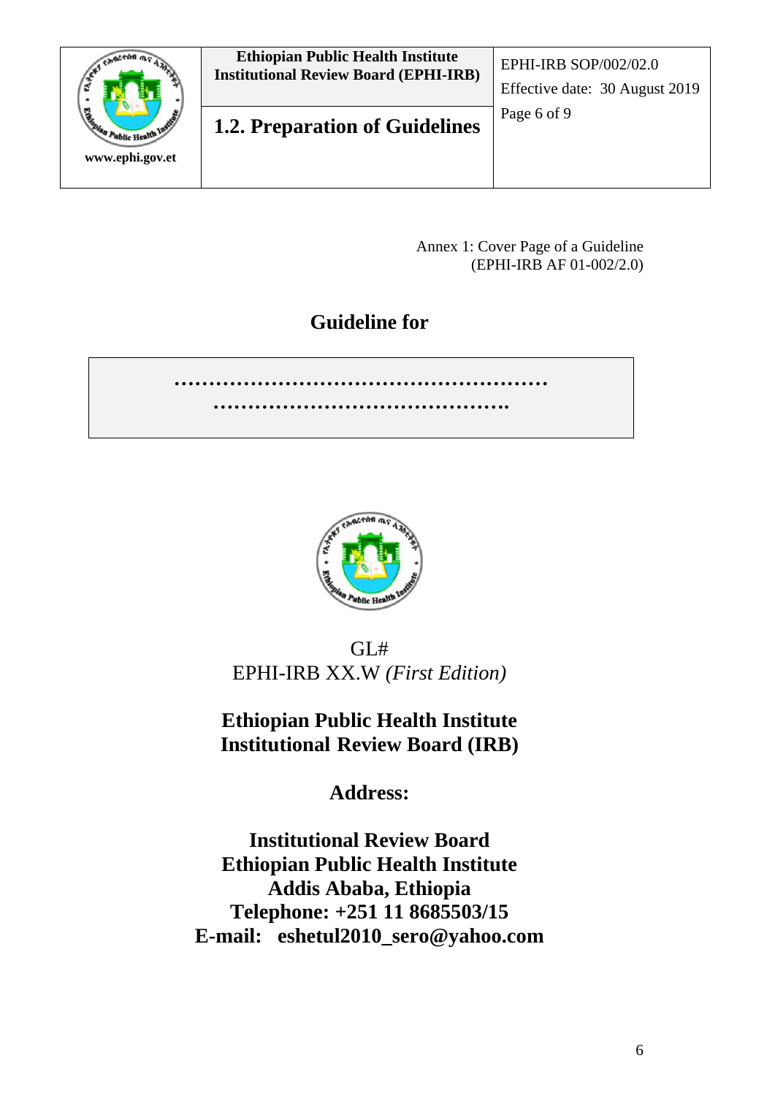

# **1.2. Preparation of Guidelines** Page 6 of 9

Effective date: 30 August 2019

Annex 1: Cover Page of a Guideline (EPHI-IRB AF 01-002/2.0)

# **Guideline for**

**……………………………………………… …………………………………….**



 $GI#$ EPHI-IRB XX.W *(First Edition)*

**Ethiopian Public Health Institute Institutional Review Board (IRB)**

**Address:**

**Institutional Review Board Ethiopian Public Health Institute Addis Ababa, Ethiopia Telephone: +251 11 8685503/15 E-mail: eshetul2010\_sero@yahoo.com**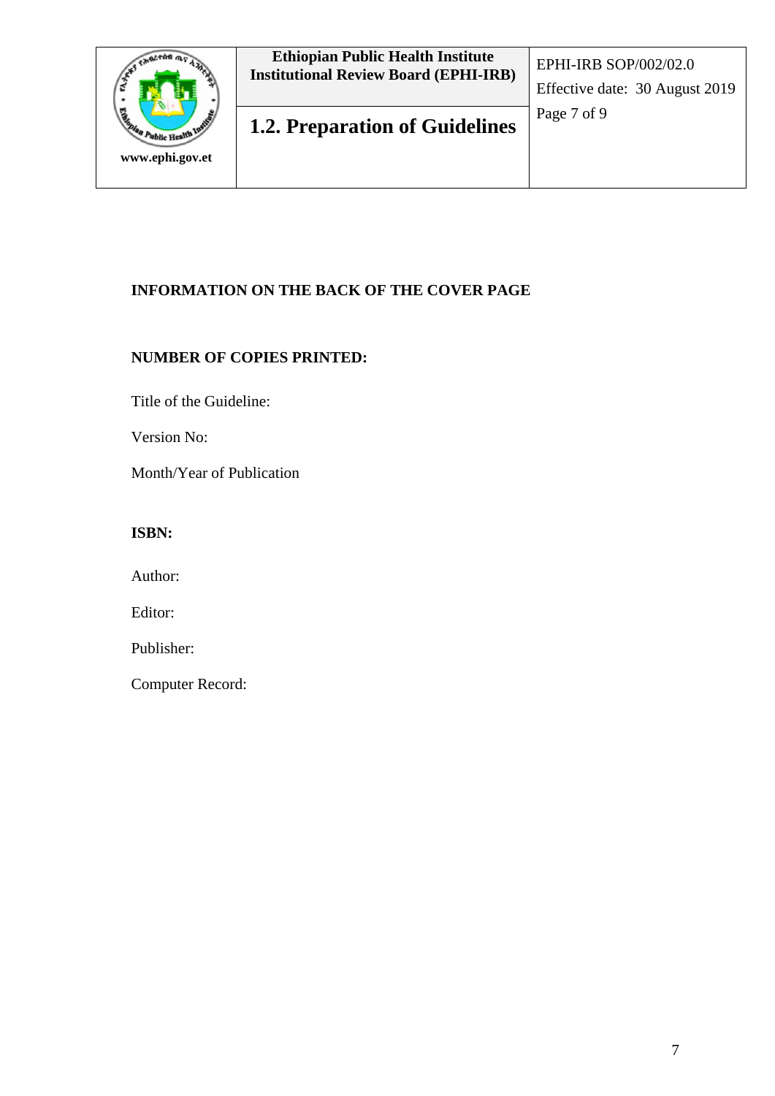

### **INFORMATION ON THE BACK OF THE COVER PAGE**

### **NUMBER OF COPIES PRINTED:**

Title of the Guideline:

Version No:

Month/Year of Publication

#### **ISBN:**

Author:

Editor:

Publisher:

Computer Record: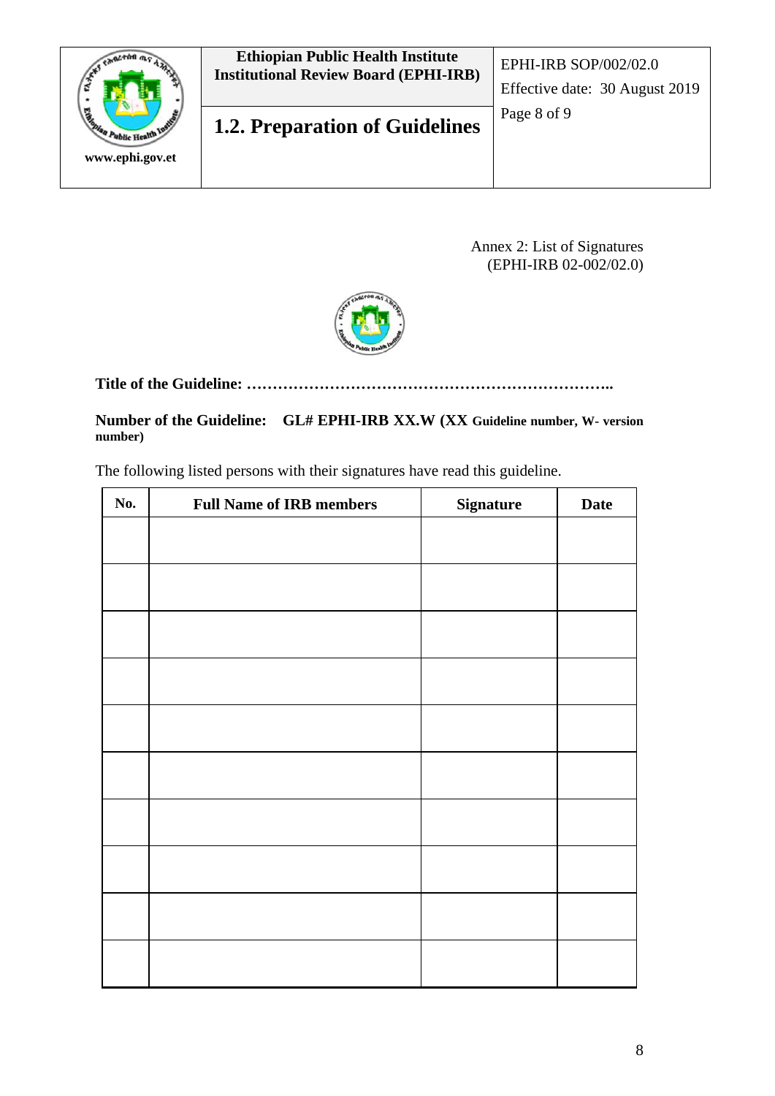

# Page 8 of 9 **1.2. Preparation of Guidelines**

Effective date: 30 August 2019

Annex 2: List of Signatures (EPHI-IRB 02-002/02.0)



**Title of the Guideline: ……………………………………………………………..**

**Number of the Guideline: GL# EPHI-IRB XX.W (XX Guideline number, W- version number)**

The following listed persons with their signatures have read this guideline.

| No. | <b>Full Name of IRB members</b> | <b>Signature</b> | <b>Date</b> |
|-----|---------------------------------|------------------|-------------|
|     |                                 |                  |             |
|     |                                 |                  |             |
|     |                                 |                  |             |
|     |                                 |                  |             |
|     |                                 |                  |             |
|     |                                 |                  |             |
|     |                                 |                  |             |
|     |                                 |                  |             |
|     |                                 |                  |             |
|     |                                 |                  |             |
|     |                                 |                  |             |